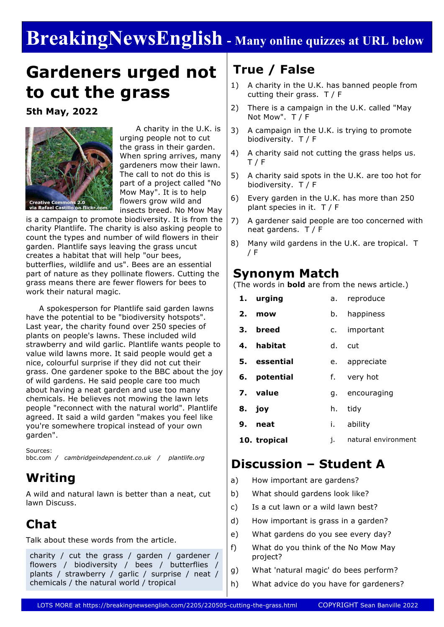# **BreakingNewsEnglish - Many online quizzes at URL below**

# **Gardeners urged not to cut the grass**

**5th May, 2022**



 A charity in the U.K. is urging people not to cut the grass in their garden. When spring arrives, many gardeners mow their lawn. The call to not do this is part of a project called "No Mow May". It is to help flowers grow wild and insects breed. No Mow May

is a campaign to promote biodiversity. It is from the charity Plantlife. The charity is also asking people to count the types and number of wild flowers in their garden. Plantlife says leaving the grass uncut creates a habitat that will help "our bees, butterflies, wildlife and us". Bees are an essential part of nature as they pollinate flowers. Cutting the grass means there are fewer flowers for bees to work their natural magic.

 A spokesperson for Plantlife said garden lawns have the potential to be "biodiversity hotspots". Last year, the charity found over 250 species of plants on people's lawns. These included wild strawberry and wild garlic. Plantlife wants people to value wild lawns more. It said people would get a nice, colourful surprise if they did not cut their grass. One gardener spoke to the BBC about the joy of wild gardens. He said people care too much about having a neat garden and use too many chemicals. He believes not mowing the lawn lets people "reconnect with the natural world". Plantlife agreed. It said a wild garden "makes you feel like you're somewhere tropical instead of your own garden".

Sources: bbc.com */ cambridgeindependent.co.uk / plantlife.org*

# **Writing**

A wild and natural lawn is better than a neat, cut lawn Discuss.

## **Chat**

Talk about these words from the article.

charity / cut the grass / garden / gardener / flowers / biodiversity / bees / butterflies / plants / strawberry / garlic / surprise / neat / chemicals / the natural world / tropical

# **True / False**

- 1) A charity in the U.K. has banned people from cutting their grass. T / F
- 2) There is a campaign in the U.K. called "May Not Mow". T / F
- 3) A campaign in the U.K. is trying to promote biodiversity. T / F
- 4) A charity said not cutting the grass helps us.  $T / F$
- 5) A charity said spots in the U.K. are too hot for biodiversity. T / F
- 6) Every garden in the U.K. has more than 250 plant species in it. T / F
- 7) A gardener said people are too concerned with neat gardens. T / F
- 8) Many wild gardens in the U.K. are tropical. T / F

### **Synonym Match**

(The words in **bold** are from the news article.)

|    | 1. urging    |    | a. reproduce   |  |
|----|--------------|----|----------------|--|
| 2. | mow          | b. | happiness      |  |
|    | 3. breed     |    | c. important   |  |
|    | 4. habitat   |    | d. cut         |  |
|    | 5. essential |    | e. appreciate  |  |
|    | 6. potential |    | f. very hot    |  |
|    | 7. value     |    | g. encouraging |  |
|    | 8. joy       | h. | tidy           |  |
|    | 9. neat      | i. | ability        |  |
|    |              |    |                |  |

**10. tropical** j. natural environment

### **Discussion – Student A**

- a) How important are gardens?
- b) What should gardens look like?
- c) Is a cut lawn or a wild lawn best?
- d) How important is grass in a garden?
- e) What gardens do you see every day?
- f) What do you think of the No Mow May project?
- g) What 'natural magic' do bees perform?
- h) What advice do you have for gardeners?